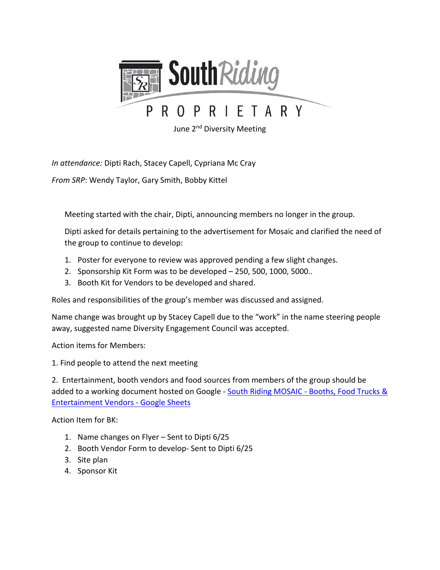

June 2<sup>nd</sup> Diversity Meeting

*In attendance:* Dipti Rach, Stacey Capell, Cypriana Mc Cray

*From SRP*: Wendy Taylor, Gary Smith, Bobby Kittel

Meeting started with the chair, Dipti, announcing members no longer in the group.

Dipti asked for details pertaining to the advertisement for Mosaic and clarified the need of the group to continue to develop:

- 1. Poster for everyone to review was approved pending a few slight changes.
- 2. Sponsorship Kit Form was to be developed 250, 500, 1000, 5000..
- 3. Booth Kit for Vendors to be developed and shared.

Roles and responsibilities of the group's member was discussed and assigned.

Name change was brought up by Stacey Capell due to the "work" in the name steering people away, suggested name Diversity Engagement Council was accepted.

Action items for Members:

1. Find people to attend the next meeting

2. Entertainment, booth vendors and food sources from members of the group should be added to a working document hosted on Google - South Riding MOSAIC - Booths, Food Trucks & [Entertainment Vendors -](https://docs.google.com/spreadsheets/d/167zLTnaEIZECaY-f45_OegjYTSGa_kpJ-Kip-jmvsKw/edit?ts=60c16537#gid=0) Google Sheets

Action Item for BK:

- 1. Name changes on Flyer Sent to Dipti 6/25
- 2. Booth Vendor Form to develop- Sent to Dipti 6/25
- 3. Site plan
- 4. Sponsor Kit